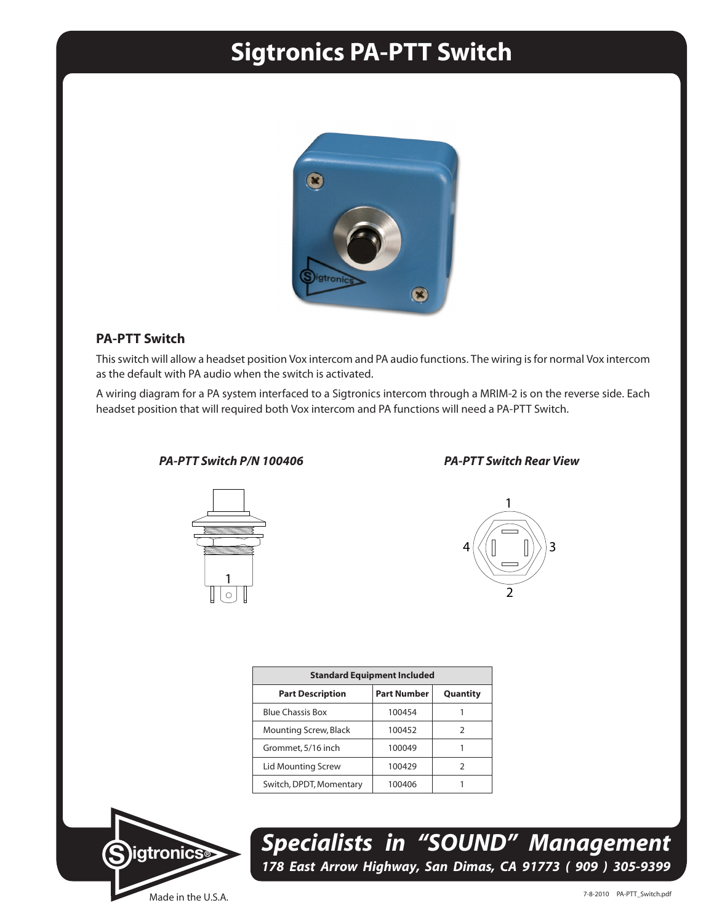## **Sigtronics PA-PTT Switch**



## **PA-PTT Switch**

This switch will allow a headset position Vox intercom and PA audio functions. The wiring is for normal Vox intercom as the default with PA audio when the switch is activated.

A wiring diagram for a PA system interfaced to a Sigtronics intercom through a MRIM-2 is on the reverse side. Each headset position that will required both Vox intercom and PA functions will need a PA-PTT Switch.

## *PA-PTT Switch P/N 100406 PA-PTT Switch Rear View*





| <b>Standard Equipment Included</b> |                    |          |
|------------------------------------|--------------------|----------|
| <b>Part Description</b>            | <b>Part Number</b> | Quantity |
| <b>Blue Chassis Box</b>            | 100454             |          |
| Mounting Screw, Black              | 100452             | 2        |
| Grommet, 5/16 inch                 | 100049             |          |
| <b>Lid Mounting Screw</b>          | 100429             | っ        |
| Switch, DPDT, Momentary            | 100406             |          |



*Specialists in "SOUND" Management 178 East Arrow Highway, San Dimas, CA 91773 ( 909 ) 305-9399*